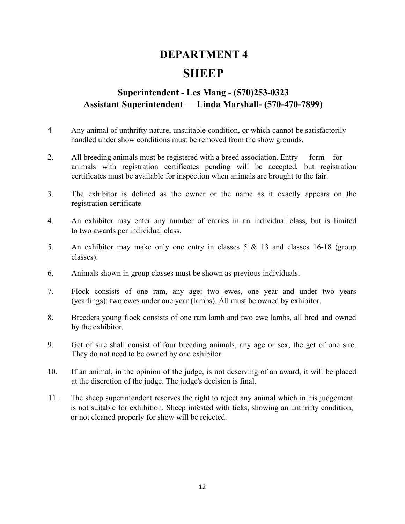# DEPARTMENT 4 **SHEEP**

### Superintendent - Les Mang - (570)253-0323 Assistant Superintendent — Linda Marshall- (570-470-7899)

- Any animal of unthrifty nature, unsuitable condition, or which cannot be satisfactorily handled under show conditions must be removed from the show grounds.
- 2. All breeding animals must be registered with a breed association. Entry form for animals with registration certificates pending will be accepted, but registration certificates must be available for inspection when animals are brought to the fair.
- 3. The exhibitor is defined as the owner or the name as it exactly appears on the registration certificate.
- 4. An exhibitor may enter any number of entries in an individual class, but is limited to two awards per individual class.
- 5. An exhibitor may make only one entry in classes 5 & 13 and classes 16-18 (group classes).
- 6. Animals shown in group classes must be shown as previous individuals.
- 7. Flock consists of one ram, any age: two ewes, one year and under two years (yearlings): two ewes under one year (lambs). All must be owned by exhibitor.
- 8. Breeders young flock consists of one ram lamb and two ewe lambs, all bred and owned by the exhibitor.
- 9. Get of sire shall consist of four breeding animals, any age or sex, the get of one sire. They do not need to be owned by one exhibitor.
- 10. If an animal, in the opinion of the judge, is not deserving of an award, it will be placed at the discretion of the judge. The judge's decision is final.
- 11 . The sheep superintendent reserves the right to reject any animal which in his judgement is not suitable for exhibition. Sheep infested with ticks, showing an unthrifty condition, or not cleaned properly for show will be rejected.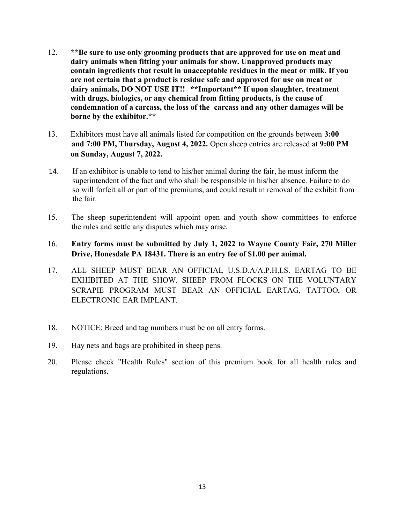- 12. \*\*Be sure to use only grooming products that are approved for use on meat and dairy animals when fitting your animals for show. Unapproved products may contain ingredients that result in unacceptable residues in the meat or milk. If you are not certain that a product is residue safe and approved for use on meat or dairy animals, DO NOT USE IT!! \*\*Important\*\* If upon slaughter, treatment with drugs, biologics, or any chemical from fitting products, is the cause of condemnation of a carcass, the loss of the carcass and any other damages will be borne by the exhibitor.\*\*
- 13. Exhibitors must have all animals listed for competition on the grounds between 3:00 and 7:00 PM, Thursday, August 4, 2022. Open sheep entries are released at 9:00 PM on Sunday, August 7, 2022.
- 14. If an exhibitor is unable to tend to his/her animal during the fair, he must inform the superintendent of the fact and who shall be responsible in his/her absence. Failure to do so will forfeit all or part of the premiums, and could result in removal of the exhibit from the fair.
- 15. The sheep superintendent will appoint open and youth show committees to enforce the rules and settle any disputes which may arise.
- 16. Entry forms must be submitted by July 1, 2022 to Wayne County Fair, 270 Miller Drive, Honesdale PA 18431. There is an entry fee of \$1.00 per animal.
- 17. ALL SHEEP MUST BEAR AN OFFICIAL U.S.D.A/A.P.H.I.S. EARTAG TO BE EXHIBITED AT THE SHOW. SHEEP FROM FLOCKS ON THE VOLUNTARY SCRAPIE PROGRAM MUST BEAR AN OFFICIAL EARTAG, TATTOO, OR ELECTRONIC EAR IMPLANT.
- 18. NOTICE: Breed and tag numbers must be on all entry forms.
- 19. Hay nets and bags are prohibited in sheep pens.
- 20. Please check "Health Rules" section of this premium book for all health rules and regulations.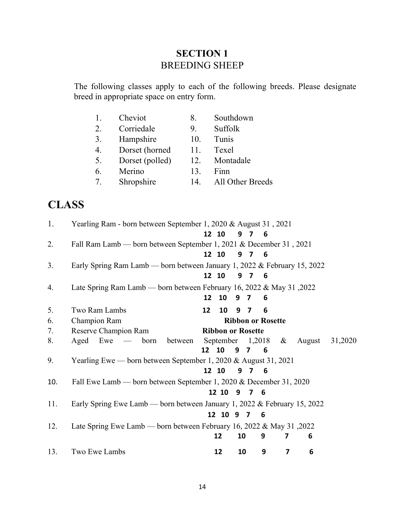# SECTION 1 BREEDING SHEEP

The following classes apply to each of the following breeds. Please designate breed in appropriate space on entry form.

|                                           | Cheviot         | 8.  | Southdown        |
|-------------------------------------------|-----------------|-----|------------------|
| 2.                                        | Corriedale      | 9.  | Suffolk          |
| 3.                                        | Hampshire       | 10. | Tunis            |
| 4.                                        | Dorset (horned  | 11. | Texel            |
| 5.                                        | Dorset (polled) | 12. | Montadale        |
| 6.                                        | Merino          | 13. | Finn             |
| $7_{\scriptscriptstyle{\ddot{\text{c}}}}$ | Shropshire      | 14  | All Other Breeds |
|                                           |                 |     |                  |

# CLASS

| 1.  | Yearling Ram - born between September 1, 2020 & August 31, 2021          |                   |                          |     |                |                          |                      |        |         |
|-----|--------------------------------------------------------------------------|-------------------|--------------------------|-----|----------------|--------------------------|----------------------|--------|---------|
|     |                                                                          |                   | 12 10                    |     | 9 7            | - 6                      |                      |        |         |
| 2.  | Fall Ram Lamb — born between September 1, 2021 & December 31, 2021       |                   |                          |     |                |                          |                      |        |         |
|     |                                                                          |                   | 12 10                    |     | 9 7            | $\overline{\phantom{a}}$ |                      |        |         |
| 3.  | Early Spring Ram Lamb — born between January 1, 2022 & February 15, 2022 |                   |                          |     |                |                          |                      |        |         |
|     |                                                                          |                   | 12 10                    |     | 9 7 6          |                          |                      |        |         |
| 4.  | Late Spring Ram Lamb — born between February 16, 2022 & May 31, 2022     |                   |                          |     |                |                          |                      |        |         |
|     |                                                                          | 12                | 10                       | 9 7 |                | 6                        |                      |        |         |
| 5.  | Two Ram Lambs                                                            | $12 \overline{ }$ | 10                       |     | 9 7            | 6                        |                      |        |         |
| 6.  | Champion Ram                                                             |                   |                          |     |                | <b>Ribbon or Rosette</b> |                      |        |         |
| 7.  | Reserve Champion Ram                                                     |                   | <b>Ribbon or Rosette</b> |     |                |                          |                      |        |         |
| 8.  | between<br>Aged Ewe $-$<br>born                                          |                   |                          |     |                |                          | September $1,2018$ & | August | 31,2020 |
|     |                                                                          | 12 <sup>1</sup>   | 10                       | 9   | $\overline{7}$ | - 6                      |                      |        |         |
| 9.  | Yearling Ewe — born between September 1, 2020 & August 31, 2021          |                   |                          |     |                |                          |                      |        |         |
|     |                                                                          |                   | 12 10                    |     | 9 7            | - 6                      |                      |        |         |
| 10. | Fall Ewe Lamb — born between September 1, 2020 & December 31, 2020       |                   |                          |     |                |                          |                      |        |         |
|     |                                                                          |                   | 12 10                    |     | 9 7 6          |                          |                      |        |         |
| 11. | Early Spring Ewe Lamb — born between January 1, 2022 & February 15, 2022 |                   |                          |     |                |                          |                      |        |         |
|     |                                                                          |                   | 12 10 9 7                |     |                | 6                        |                      |        |         |
| 12. | Late Spring Ewe Lamb — born between February 16, 2022 & May 31, 2022     |                   |                          |     |                |                          |                      |        |         |
|     |                                                                          |                   | 12                       | 10  |                | 9                        | 7                    | 6      |         |
| 13. | Two Ewe Lambs                                                            |                   | 12                       | 10  |                | 9                        | $\overline{7}$       | 6      |         |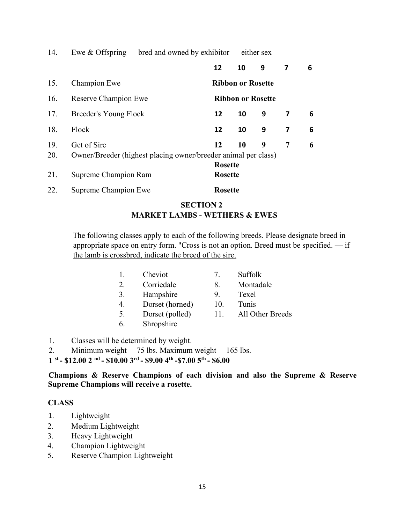14. Ewe & Offspring — bred and owned by exhibitor — either sex

|     |                                                                | 12             | 10                       | 9 |   | 6 |  |  |  |
|-----|----------------------------------------------------------------|----------------|--------------------------|---|---|---|--|--|--|
| 15. | Champion Ewe                                                   |                | <b>Ribbon or Rosette</b> |   |   |   |  |  |  |
| 16. | Reserve Champion Ewe                                           |                | <b>Ribbon or Rosette</b> |   |   |   |  |  |  |
| 17. | Breeder's Young Flock                                          | 12             | 10                       | 9 | 7 | 6 |  |  |  |
| 18. | Flock                                                          | 12             | 10                       | 9 | 7 | 6 |  |  |  |
| 19. | Get of Sire                                                    | 12             | 10                       | 9 | 7 | 6 |  |  |  |
| 20. | Owner/Breeder (highest placing owner/breeder animal per class) |                |                          |   |   |   |  |  |  |
|     |                                                                | <b>Rosette</b> |                          |   |   |   |  |  |  |
| 21. | Supreme Champion Ram                                           |                | <b>Rosette</b>           |   |   |   |  |  |  |
| 22. | Supreme Champion Ewe                                           | <b>Rosette</b> |                          |   |   |   |  |  |  |

#### SECTION 2 MARKET LAMBS - WETHERS & EWES

The following classes apply to each of the following breeds. Please designate breed in appropriate space on entry form. "Cross is not an option. Breed must be specified. — if the lamb is crossbred, indicate the breed of the sire.

|    | Cheviot         | 7   | Suffolk          |
|----|-----------------|-----|------------------|
| 2. | Corriedale      | 8.  | Montadale        |
| 3. | Hampshire       | 9.  | Texel            |
| 4. | Dorset (horned) | 10. | Tunis            |
| 5. | Dorset (polled) | 11. | All Other Breeds |
| 6. | Shropshire      |     |                  |
|    |                 |     |                  |

- 1. Classes will be determined by weight.
- 2. Minimum weight— 75 lbs. Maximum weight— 165 lbs.

 $1^{st}$  - \$12.00 2 <sup>nd</sup> - \$10.00 3<sup>rd</sup> - \$9.00 4<sup>th</sup> - \$7.00 5<sup>th</sup> - \$6.00

Champions & Reserve Champions of each division and also the Supreme & Reserve Supreme Champions will receive a rosette.

#### CLASS

- 1. Lightweight
- 2. Medium Lightweight
- 3. Heavy Lightweight
- 4. Champion Lightweight
- 5. Reserve Champion Lightweight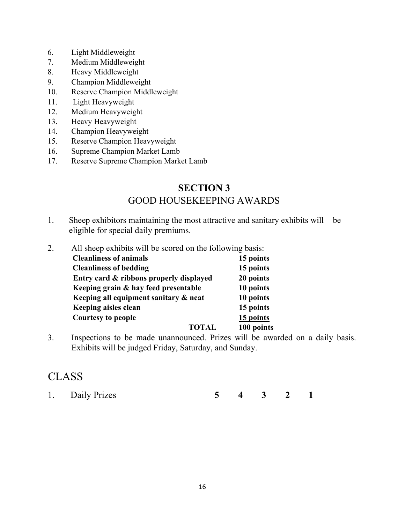- 6. Light Middleweight
- 7. Medium Middleweight
- 8. Heavy Middleweight
- 9. Champion Middleweight
- 10. Reserve Champion Middleweight
- 11. Light Heavyweight
- 12. Medium Heavyweight
- 13. Heavy Heavyweight
- 14. Champion Heavyweight
- 15. Reserve Champion Heavyweight
- 16. Supreme Champion Market Lamb
- 17. Reserve Supreme Champion Market Lamb

# SECTION 3 GOOD HOUSEKEEPING AWARDS

- 1. Sheep exhibitors maintaining the most attractive and sanitary exhibits will be eligible for special daily premiums.
- 2. All sheep exhibits will be scored on the following basis: Cleanliness of animals<br>
Cleanliness of hedding<br>
15 points  $Cl$  conliness of bodding

| CICALITIICSS VI DCUUIIIL                | 19 points  |
|-----------------------------------------|------------|
| Entry card & ribbons properly displayed | 20 points  |
| Keeping grain & hay feed presentable    | 10 points  |
| Keeping all equipment sanitary & neat   | 10 points  |
| Keeping aisles clean                    | 15 points  |
| <b>Courtesy to people</b>               | 15 points  |
| <b>TOTAL</b>                            | 100 points |

3. Inspections to be made unannounced. Prizes will be awarded on a daily basis. Exhibits will be judged Friday, Saturday, and Sunday.

# CLASS

1. Daily Prizes 5 4 3 2 1